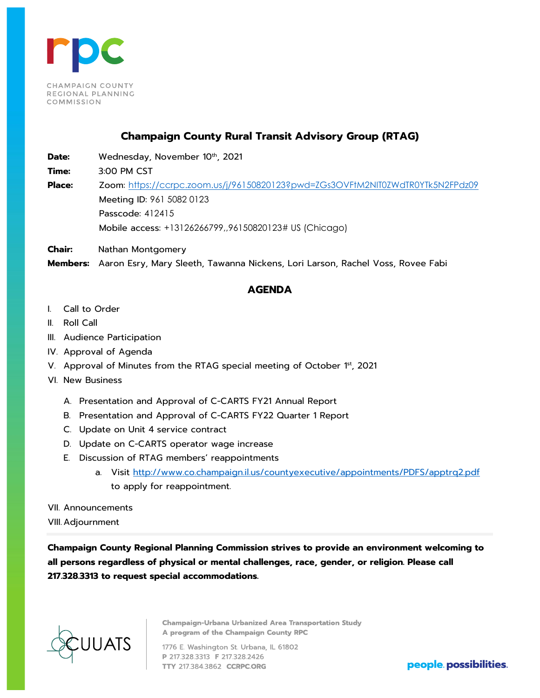

## **Champaign County Rural Transit Advisory Group (RTAG)**

Date: Wednesday, November 10<sup>th</sup>, 2021

**Time:** 3:00 PM CST

**Place:** Zoom: <https://ccrpc.zoom.us/j/96150820123?pwd=ZGs3OVFtM2NIT0ZWdTR0YTk5N2FPdz09> Meeting ID: 961 5082 0123 Passcode: 412415 Mobile access: +13126266799,,96150820123# US (Chicago)

**Chair:** Nathan Montgomery

**Members:** Aaron Esry, Mary Sleeth, Tawanna Nickens, Lori Larson, Rachel Voss, Rovee Fabi

## **AGENDA**

- I. Call to Order
- II. Roll Call
- III. Audience Participation
- IV. Approval of Agenda
- V. Approval of Minutes from the RTAG special meeting of October 1st, 2021
- VI. New Business
	- A. Presentation and Approval of C-CARTS FY21 Annual Report
	- B. Presentation and Approval of C-CARTS FY22 Quarter 1 Report
	- C. Update on Unit 4 service contract
	- D. Update on C-CARTS operator wage increase
	- E. Discussion of RTAG members' reappointments
		- a. Visit<http://www.co.champaign.il.us/countyexecutive/appointments/PDFS/apptrq2.pdf> to apply for reappointment.
- VII. Announcements
- VIII. Adjournment

**Champaign County Regional Planning Commission strives to provide an environment welcoming to all persons regardless of physical or mental challenges, race, gender, or religion. Please call 217.328.3313 to request special accommodations.**



**Champaign-Urbana Urbanized Area Transportation Study A program of the Champaign County RPC** 

1776 E. Washington St. Urbana, IL 61802 **P** 217.328.3313 F 217.328.2426 **TTY** 217.384.3862 **CCRPC.ORG people. possibilities.**